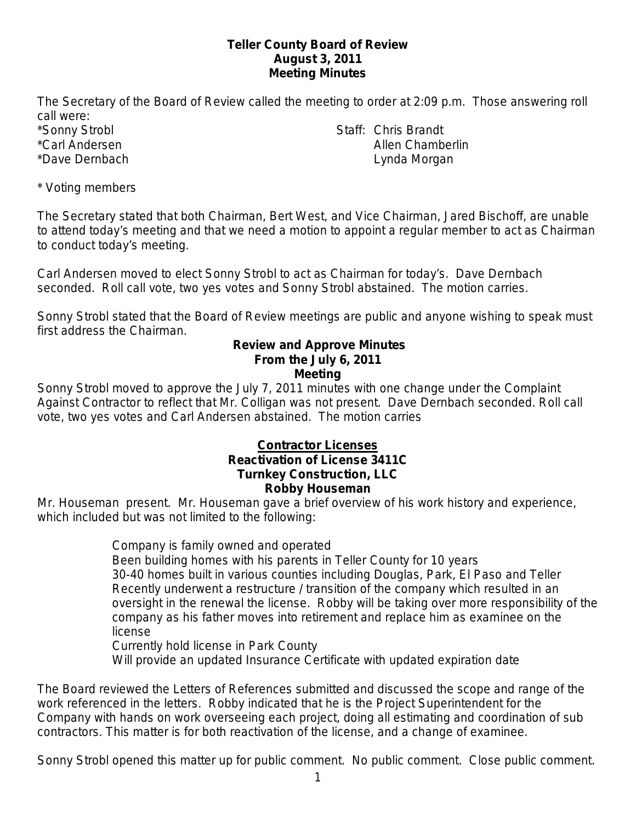### **Teller County Board of Review August 3, 2011 Meeting Minutes**

The Secretary of the Board of Review called the meeting to order at 2:09 p.m. Those answering roll call were:

\*Sonny Strobl Staff: Chris Brandt \*Carl Andersen Allen Chamberlin \*Dave Dernbach **Lynda Morgan** Lynda Morgan

\* Voting members

The Secretary stated that both Chairman, Bert West, and Vice Chairman, Jared Bischoff, are unable to attend today's meeting and that we need a motion to appoint a regular member to act as Chairman to conduct today's meeting.

Carl Andersen moved to elect Sonny Strobl to act as Chairman for today's. Dave Dernbach seconded. Roll call vote, two yes votes and Sonny Strobl abstained. The motion carries.

Sonny Strobl stated that the Board of Review meetings are public and anyone wishing to speak must first address the Chairman.

#### **Review and Approve Minutes From the July 6, 2011 Meeting**

Sonny Strobl moved to approve the July 7, 2011 minutes with one change under the Complaint Against Contractor to reflect that Mr. Colligan was not present. Dave Dernbach seconded. Roll call vote, two yes votes and Carl Andersen abstained. The motion carries

### **Contractor Licenses Reactivation of License 3411C Turnkey Construction, LLC Robby Houseman**

Mr. Houseman present. Mr. Houseman gave a brief overview of his work history and experience, which included but was not limited to the following:

Company is family owned and operated

Been building homes with his parents in Teller County for 10 years

30-40 homes built in various counties including Douglas, Park, El Paso and Teller Recently underwent a restructure / transition of the company which resulted in an oversight in the renewal the license. Robby will be taking over more responsibility of the company as his father moves into retirement and replace him as examinee on the license

Currently hold license in Park County

Will provide an updated Insurance Certificate with updated expiration date

The Board reviewed the Letters of References submitted and discussed the scope and range of the work referenced in the letters. Robby indicated that he is the Project Superintendent for the Company with hands on work overseeing each project, doing all estimating and coordination of sub contractors. This matter is for both reactivation of the license, and a change of examinee.

Sonny Strobl opened this matter up for public comment. No public comment. Close public comment.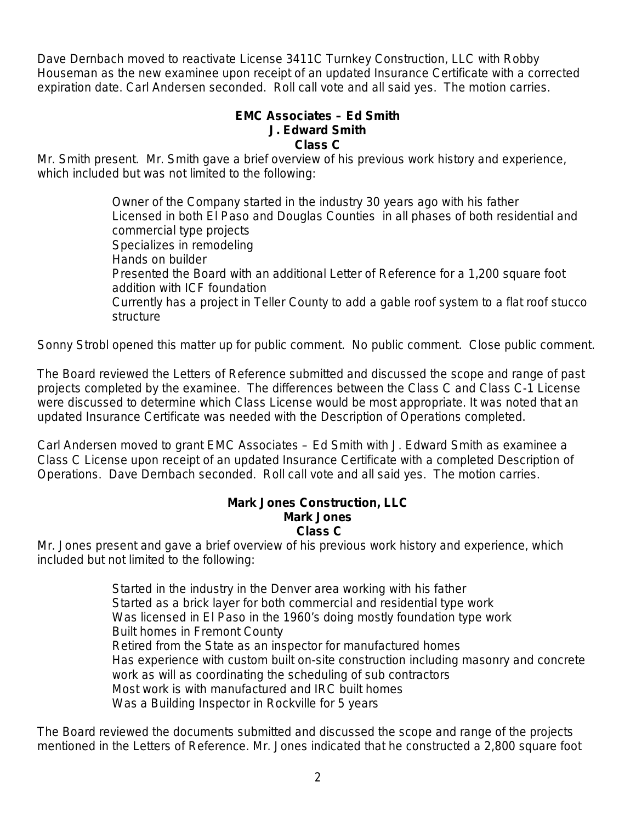Dave Dernbach moved to reactivate License 3411C Turnkey Construction, LLC with Robby Houseman as the new examinee upon receipt of an updated Insurance Certificate with a corrected expiration date. Carl Andersen seconded. Roll call vote and all said yes. The motion carries.

## **EMC Associates – Ed Smith J. Edward Smith Class C**

Mr. Smith present. Mr. Smith gave a brief overview of his previous work history and experience, which included but was not limited to the following:

> Owner of the Company started in the industry 30 years ago with his father Licensed in both El Paso and Douglas Counties in all phases of both residential and commercial type projects Specializes in remodeling Hands on builder Presented the Board with an additional Letter of Reference for a 1,200 square foot addition with ICF foundation Currently has a project in Teller County to add a gable roof system to a flat roof stucco structure

Sonny Strobl opened this matter up for public comment. No public comment. Close public comment.

The Board reviewed the Letters of Reference submitted and discussed the scope and range of past projects completed by the examinee. The differences between the Class C and Class C-1 License were discussed to determine which Class License would be most appropriate. It was noted that an updated Insurance Certificate was needed with the Description of Operations completed.

Carl Andersen moved to grant EMC Associates – Ed Smith with J. Edward Smith as examinee a Class C License upon receipt of an updated Insurance Certificate with a completed Description of Operations. Dave Dernbach seconded. Roll call vote and all said yes. The motion carries.

#### **Mark Jones Construction, LLC Mark Jones Class C**

Mr. Jones present and gave a brief overview of his previous work history and experience, which included but not limited to the following:

> Started in the industry in the Denver area working with his father Started as a brick layer for both commercial and residential type work Was licensed in El Paso in the 1960's doing mostly foundation type work Built homes in Fremont County Retired from the State as an inspector for manufactured homes Has experience with custom built on-site construction including masonry and concrete work as will as coordinating the scheduling of sub contractors Most work is with manufactured and IRC built homes Was a Building Inspector in Rockville for 5 years

The Board reviewed the documents submitted and discussed the scope and range of the projects mentioned in the Letters of Reference. Mr. Jones indicated that he constructed a 2,800 square foot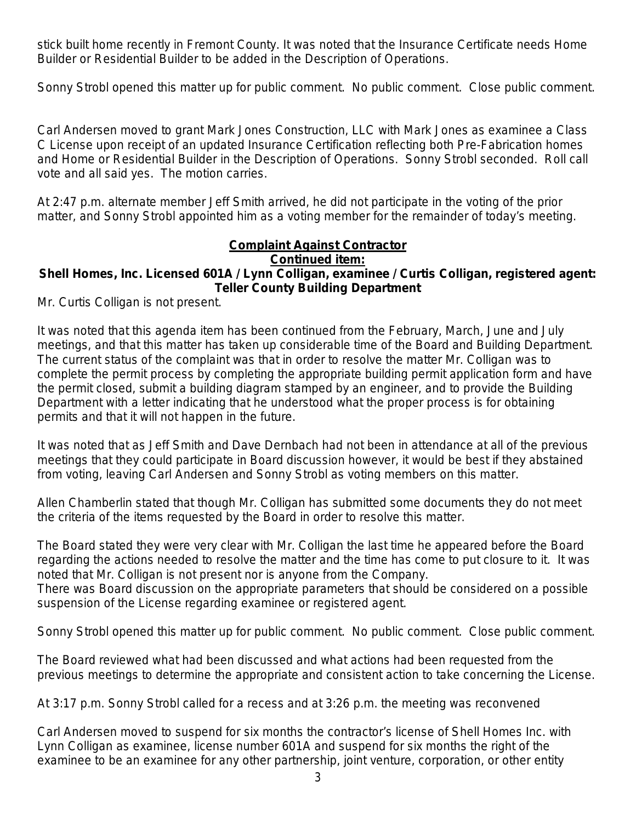stick built home recently in Fremont County. It was noted that the Insurance Certificate needs Home Builder or Residential Builder to be added in the Description of Operations.

Sonny Strobl opened this matter up for public comment. No public comment. Close public comment.

Carl Andersen moved to grant Mark Jones Construction, LLC with Mark Jones as examinee a Class C License upon receipt of an updated Insurance Certification reflecting both Pre-Fabrication homes and Home or Residential Builder in the Description of Operations. Sonny Strobl seconded. Roll call vote and all said yes. The motion carries.

At 2:47 p.m. alternate member Jeff Smith arrived, he did not participate in the voting of the prior matter, and Sonny Strobl appointed him as a voting member for the remainder of today's meeting.

# **Complaint Against Contractor**

#### **Continued item:**

### **Shell Homes, Inc. Licensed 601A / Lynn Colligan, examinee / Curtis Colligan, registered agent: Teller County Building Department**

Mr. Curtis Colligan is not present.

It was noted that this agenda item has been continued from the February, March, June and July meetings, and that this matter has taken up considerable time of the Board and Building Department. The current status of the complaint was that in order to resolve the matter Mr. Colligan was to complete the permit process by completing the appropriate building permit application form and have the permit closed, submit a building diagram stamped by an engineer, and to provide the Building Department with a letter indicating that he understood what the proper process is for obtaining permits and that it will not happen in the future.

It was noted that as Jeff Smith and Dave Dernbach had not been in attendance at all of the previous meetings that they could participate in Board discussion however, it would be best if they abstained from voting, leaving Carl Andersen and Sonny Strobl as voting members on this matter.

Allen Chamberlin stated that though Mr. Colligan has submitted some documents they do not meet the criteria of the items requested by the Board in order to resolve this matter.

The Board stated they were very clear with Mr. Colligan the last time he appeared before the Board regarding the actions needed to resolve the matter and the time has come to put closure to it. It was noted that Mr. Colligan is not present nor is anyone from the Company.

There was Board discussion on the appropriate parameters that should be considered on a possible suspension of the License regarding examinee or registered agent.

Sonny Strobl opened this matter up for public comment. No public comment. Close public comment.

The Board reviewed what had been discussed and what actions had been requested from the previous meetings to determine the appropriate and consistent action to take concerning the License.

At 3:17 p.m. Sonny Strobl called for a recess and at 3:26 p.m. the meeting was reconvened

Carl Andersen moved to suspend for six months the contractor's license of Shell Homes Inc. with Lynn Colligan as examinee, license number 601A and suspend for six months the right of the examinee to be an examinee for any other partnership, joint venture, corporation, or other entity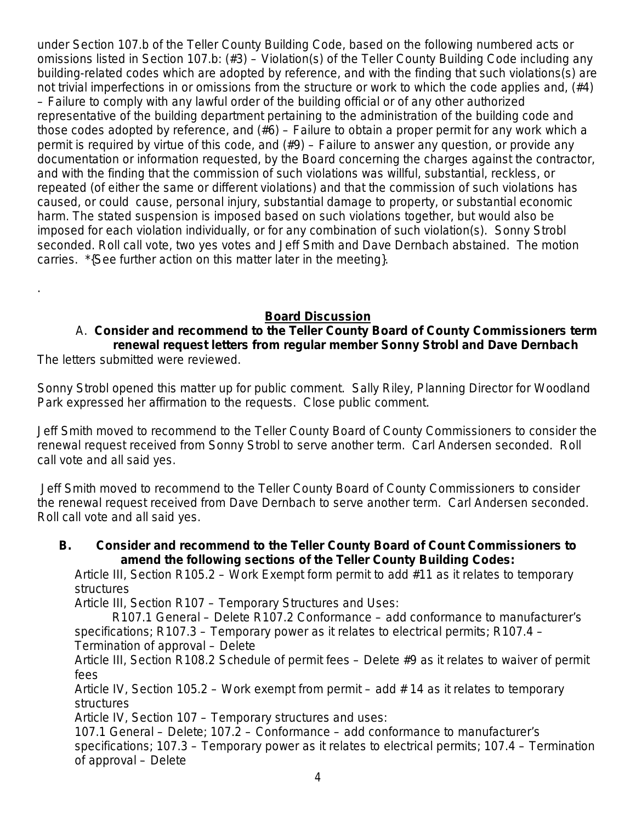under Section 107.b of the Teller County Building Code, based on the following numbered acts or omissions listed in Section 107.b: (#3) – Violation(s) of the Teller County Building Code including any building-related codes which are adopted by reference, and with the finding that such violations(s) are not trivial imperfections in or omissions from the structure or work to which the code applies and, (#4) – Failure to comply with any lawful order of the building official or of any other authorized representative of the building department pertaining to the administration of the building code and those codes adopted by reference, and (#6) – Failure to obtain a proper permit for any work which a permit is required by virtue of this code, and (#9) – Failure to answer any question, or provide any documentation or information requested, by the Board concerning the charges against the contractor, and with the finding that the commission of such violations was willful, substantial, reckless, or repeated (of either the same or different violations) and that the commission of such violations has caused, or could cause, personal injury, substantial damage to property, or substantial economic harm. The stated suspension is imposed based on such violations together, but would also be imposed for each violation individually, or for any combination of such violation(s). Sonny Strobl seconded. Roll call vote, two yes votes and Jeff Smith and Dave Dernbach abstained. The motion carries. \*{See further action on this matter later in the meeting}.

## **Board Discussion**

## A. **Consider and recommend to the Teller County Board of County Commissioners term renewal request letters from regular member Sonny Strobl and Dave Dernbach**

The letters submitted were reviewed.

.

Sonny Strobl opened this matter up for public comment. Sally Riley, Planning Director for Woodland Park expressed her affirmation to the requests. Close public comment.

Jeff Smith moved to recommend to the Teller County Board of County Commissioners to consider the renewal request received from Sonny Strobl to serve another term. Carl Andersen seconded. Roll call vote and all said yes.

Jeff Smith moved to recommend to the Teller County Board of County Commissioners to consider the renewal request received from Dave Dernbach to serve another term. Carl Andersen seconded. Roll call vote and all said yes.

### **B. Consider and recommend to the Teller County Board of Count Commissioners to amend the following sections of the Teller County Building Codes:**

Article III, Section R105.2 – Work Exempt form permit to add #11 as it relates to temporary structures

Article III, Section R107 – Temporary Structures and Uses:

R107.1 General – Delete R107.2 Conformance – add conformance to manufacturer's specifications; R107.3 – Temporary power as it relates to electrical permits; R107.4 – Termination of approval – Delete

Article III, Section R108.2 Schedule of permit fees – Delete #9 as it relates to waiver of permit fees

Article IV, Section 105.2 – Work exempt from permit – add # 14 as it relates to temporary structures

Article IV, Section 107 – Temporary structures and uses:

107.1 General – Delete; 107.2 – Conformance – add conformance to manufacturer's specifications; 107.3 – Temporary power as it relates to electrical permits; 107.4 – Termination of approval – Delete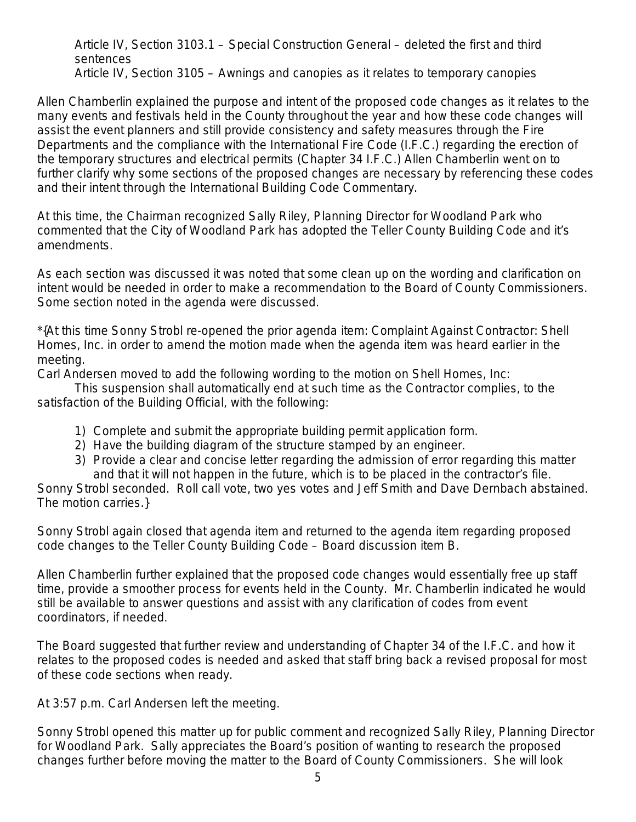Article IV, Section 3103.1 – Special Construction General – deleted the first and third sentences Article IV, Section 3105 – Awnings and canopies as it relates to temporary canopies

Allen Chamberlin explained the purpose and intent of the proposed code changes as it relates to the many events and festivals held in the County throughout the year and how these code changes will assist the event planners and still provide consistency and safety measures through the Fire Departments and the compliance with the International Fire Code (I.F.C.) regarding the erection of the temporary structures and electrical permits (Chapter 34 I.F.C.) Allen Chamberlin went on to further clarify why some sections of the proposed changes are necessary by referencing these codes and their intent through the International Building Code Commentary.

At this time, the Chairman recognized Sally Riley, Planning Director for Woodland Park who commented that the City of Woodland Park has adopted the Teller County Building Code and it's amendments.

As each section was discussed it was noted that some clean up on the wording and clarification on intent would be needed in order to make a recommendation to the Board of County Commissioners. Some section noted in the agenda were discussed.

\*{At this time Sonny Strobl re-opened the prior agenda item: Complaint Against Contractor: Shell Homes, Inc. in order to amend the motion made when the agenda item was heard earlier in the meeting.

Carl Andersen moved to add the following wording to the motion on Shell Homes, Inc:

This suspension shall automatically end at such time as the Contractor complies, to the satisfaction of the Building Official, with the following:

- 1) Complete and submit the appropriate building permit application form.
- 2) Have the building diagram of the structure stamped by an engineer.
- 3) Provide a clear and concise letter regarding the admission of error regarding this matter and that it will not happen in the future, which is to be placed in the contractor's file.

Sonny Strobl seconded. Roll call vote, two yes votes and Jeff Smith and Dave Dernbach abstained. The motion carries.}

Sonny Strobl again closed that agenda item and returned to the agenda item regarding proposed code changes to the Teller County Building Code – Board discussion item B.

Allen Chamberlin further explained that the proposed code changes would essentially free up staff time, provide a smoother process for events held in the County. Mr. Chamberlin indicated he would still be available to answer questions and assist with any clarification of codes from event coordinators, if needed.

The Board suggested that further review and understanding of Chapter 34 of the I.F.C. and how it relates to the proposed codes is needed and asked that staff bring back a revised proposal for most of these code sections when ready.

At 3:57 p.m. Carl Andersen left the meeting.

Sonny Strobl opened this matter up for public comment and recognized Sally Riley, Planning Director for Woodland Park. Sally appreciates the Board's position of wanting to research the proposed changes further before moving the matter to the Board of County Commissioners. She will look